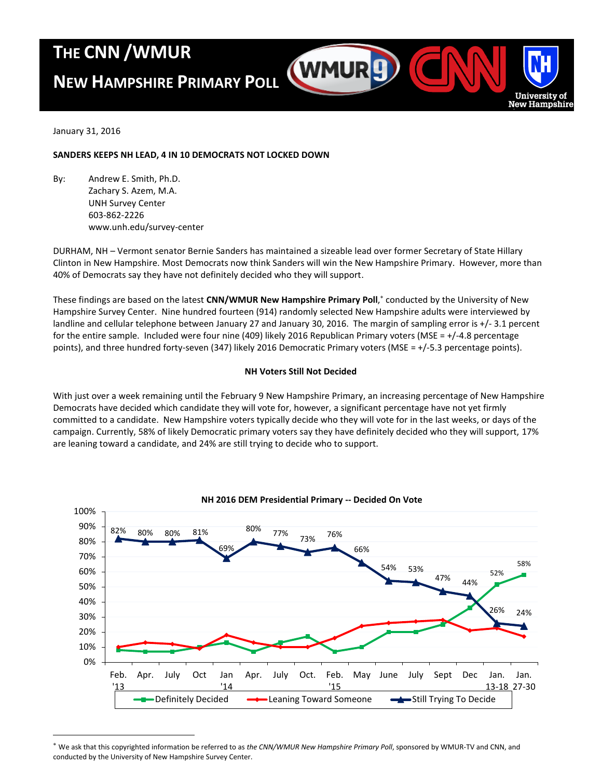## **THE CNN /WMUR**

# **NEW HAMPSHIRE PRIMARY POLL**



January 31, 2016

 $\overline{a}$ 

## **SANDERS KEEPS NH LEAD, 4 IN 10 DEMOCRATS NOT LOCKED DOWN**

By: Andrew E. Smith, Ph.D. Zachary S. Azem, M.A. UNH Survey Center 603-862-2226 www.unh.edu/survey-center

DURHAM, NH – Vermont senator Bernie Sanders has maintained a sizeable lead over former Secretary of State Hillary Clinton in New Hampshire. Most Democrats now think Sanders will win the New Hampshire Primary. However, more than 40% of Democrats say they have not definitely decided who they will support.

These findings are based on the latest **CNN/WMUR New Hampshire Primary Poll**, conducted by the University of New Hampshire Survey Center. Nine hundred fourteen (914) randomly selected New Hampshire adults were interviewed by landline and cellular telephone between January 27 and January 30, 2016. The margin of sampling error is +/- 3.1 percent for the entire sample. Included were four nine (409) likely 2016 Republican Primary voters (MSE = +/-4.8 percentage points), and three hundred forty-seven (347) likely 2016 Democratic Primary voters (MSE = +/-5.3 percentage points).

## **NH Voters Still Not Decided**

With just over a week remaining until the February 9 New Hampshire Primary, an increasing percentage of New Hampshire Democrats have decided which candidate they will vote for, however, a significant percentage have not yet firmly committed to a candidate. New Hampshire voters typically decide who they will vote for in the last weeks, or days of the campaign. Currently, 58% of likely Democratic primary voters say they have definitely decided who they will support, 17% are leaning toward a candidate, and 24% are still trying to decide who to support.



**NH 2016 DEM Presidential Primary -- Decided On Vote**

We ask that this copyrighted information be referred to as *the CNN/WMUR New Hampshire Primary Poll*, sponsored by WMUR-TV and CNN, and conducted by the University of New Hampshire Survey Center.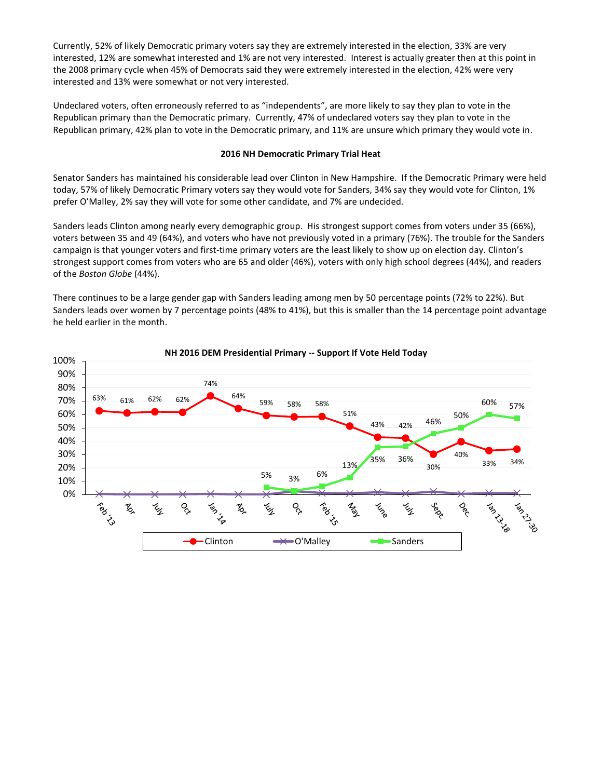Currently, 52% of likely Democratic primary voters say they are extremely interested in the election, 33% are very interested, 12% are somewhat interested and 1% are not very interested. Interest is actually greater then at this point in the 2008 primary cycle when 45% of Democrats said they were extremely interested in the election, 42% were very interested and 13% were somewhat or not very interested.

Undeclared voters, often erroneously referred to as "independents", are more likely to say they plan to vote in the Republican primary than the Democratic primary. Currently, 47% of undeclared voters say they plan to vote in the Republican primary, 42% plan to vote in the Democratic primary, and 11% are unsure which primary they would vote in.

### **2016 NH Democratic Primary Trial Heat**

Senator Sanders has maintained his considerable lead over Clinton in New Hampshire. If the Democratic Primary were held today, 57% of likely Democratic Primary voters say they would vote for Sanders, 34% say they would vote for Clinton, 1% prefer O'Malley, 2% say they will vote for some other candidate, and 7% are undecided.

Sanders leads Clinton among nearly every demographic group. His strongest support comes from voters under 35 (66%), voters between 35 and 49 (64%), and voters who have not previously voted in a primary (76%). The trouble for the Sanders campaign is that younger voters and first-time primary voters are the least likely to show up on election day. Clinton's strongest support comes from voters who are 65 and older (46%), voters with only high school degrees (44%), and readers of the *Boston Globe* (44%).

There continues to be a large gender gap with Sanders leading among men by 50 percentage points (72% to 22%). But Sanders leads over women by 7 percentage points (48% to 41%), but this is smaller than the 14 percentage point advantage he held earlier in the month.



### **NH 2016 DEM Presidential Primary -- Support If Vote Held Today**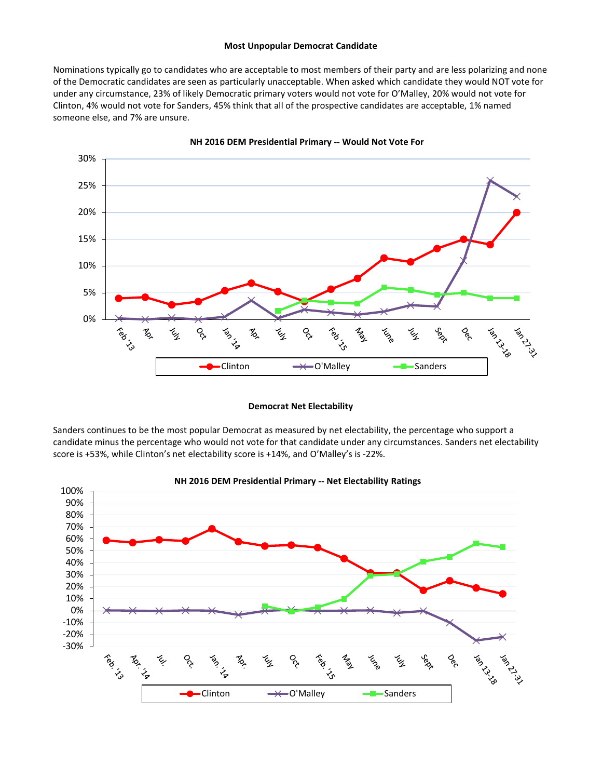#### **Most Unpopular Democrat Candidate**

Nominations typically go to candidates who are acceptable to most members of their party and are less polarizing and none of the Democratic candidates are seen as particularly unacceptable. When asked which candidate they would NOT vote for under any circumstance, 23% of likely Democratic primary voters would not vote for O'Malley, 20% would not vote for Clinton, 4% would not vote for Sanders, 45% think that all of the prospective candidates are acceptable, 1% named someone else, and 7% are unsure.



**NH 2016 DEM Presidential Primary -- Would Not Vote For**

#### **Democrat Net Electability**

Sanders continues to be the most popular Democrat as measured by net electability, the percentage who support a candidate minus the percentage who would not vote for that candidate under any circumstances. Sanders net electability score is +53%, while Clinton's net electability score is +14%, and O'Malley's is -22%.

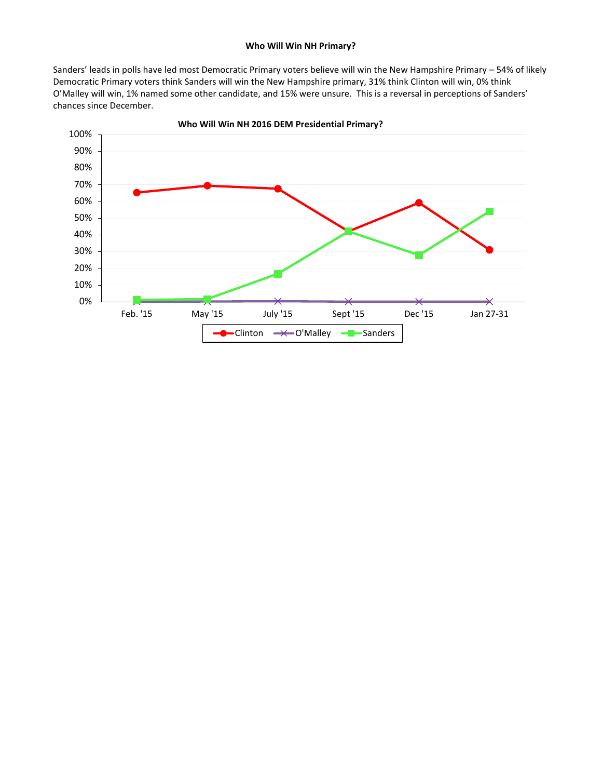## **Who Will Win NH Primary?**

Sanders' leads in polls have led most Democratic Primary voters believe will win the New Hampshire Primary – 54% of likely Democratic Primary voters think Sanders will win the New Hampshire primary, 31% think Clinton will win, 0% think O'Malley will win, 1% named some other candidate, and 15% were unsure. This is a reversal in perceptions of Sanders' chances since December.



**Who Will Win NH 2016 DEM Presidential Primary?**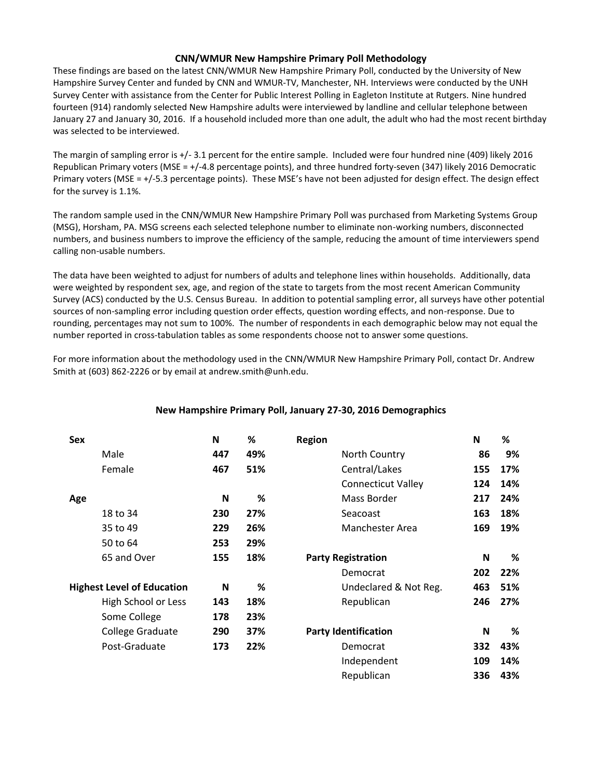## **CNN/WMUR New Hampshire Primary Poll Methodology**

These findings are based on the latest CNN/WMUR New Hampshire Primary Poll, conducted by the University of New Hampshire Survey Center and funded by CNN and WMUR-TV, Manchester, NH. Interviews were conducted by the UNH Survey Center with assistance from the Center for Public Interest Polling in Eagleton Institute at Rutgers. Nine hundred fourteen (914) randomly selected New Hampshire adults were interviewed by landline and cellular telephone between January 27 and January 30, 2016. If a household included more than one adult, the adult who had the most recent birthday was selected to be interviewed.

The margin of sampling error is +/- 3.1 percent for the entire sample. Included were four hundred nine (409) likely 2016 Republican Primary voters (MSE = +/-4.8 percentage points), and three hundred forty-seven (347) likely 2016 Democratic Primary voters (MSE = +/-5.3 percentage points). These MSE's have not been adjusted for design effect. The design effect for the survey is 1.1%.

The random sample used in the CNN/WMUR New Hampshire Primary Poll was purchased from Marketing Systems Group (MSG), Horsham, PA. MSG screens each selected telephone number to eliminate non-working numbers, disconnected numbers, and business numbers to improve the efficiency of the sample, reducing the amount of time interviewers spend calling non-usable numbers.

The data have been weighted to adjust for numbers of adults and telephone lines within households. Additionally, data were weighted by respondent sex, age, and region of the state to targets from the most recent American Community Survey (ACS) conducted by the U.S. Census Bureau. In addition to potential sampling error, all surveys have other potential sources of non-sampling error including question order effects, question wording effects, and non-response. Due to rounding, percentages may not sum to 100%. The number of respondents in each demographic below may not equal the number reported in cross-tabulation tables as some respondents choose not to answer some questions.

For more information about the methodology used in the CNN/WMUR New Hampshire Primary Poll, contact Dr. Andrew Smith at (603) 862-2226 or by email at andrew.smith@unh.edu.

| Sex |                                   | N   | %   | <b>Region</b>               | N   | %   |
|-----|-----------------------------------|-----|-----|-----------------------------|-----|-----|
|     | Male                              | 447 | 49% | North Country               | 86  | 9%  |
|     | Female                            | 467 | 51% | Central/Lakes               | 155 | 17% |
|     |                                   |     |     | <b>Connecticut Valley</b>   | 124 | 14% |
| Age |                                   | N   | %   | Mass Border                 | 217 | 24% |
|     | 18 to 34                          | 230 | 27% | Seacoast                    | 163 | 18% |
|     | 35 to 49                          | 229 | 26% | <b>Manchester Area</b>      | 169 | 19% |
|     | 50 to 64                          | 253 | 29% |                             |     |     |
|     | 65 and Over                       | 155 | 18% | <b>Party Registration</b>   | N   | %   |
|     |                                   |     |     | Democrat                    | 202 | 22% |
|     | <b>Highest Level of Education</b> | N   | %   | Undeclared & Not Reg.       | 463 | 51% |
|     | High School or Less               | 143 | 18% | Republican                  | 246 | 27% |
|     | Some College                      | 178 | 23% |                             |     |     |
|     | College Graduate                  | 290 | 37% | <b>Party Identification</b> | N   | %   |
|     | Post-Graduate                     | 173 | 22% | Democrat                    | 332 | 43% |
|     |                                   |     |     | Independent                 | 109 | 14% |
|     |                                   |     |     | Republican                  | 336 | 43% |

## **New Hampshire Primary Poll, January 27-30, 2016 Demographics**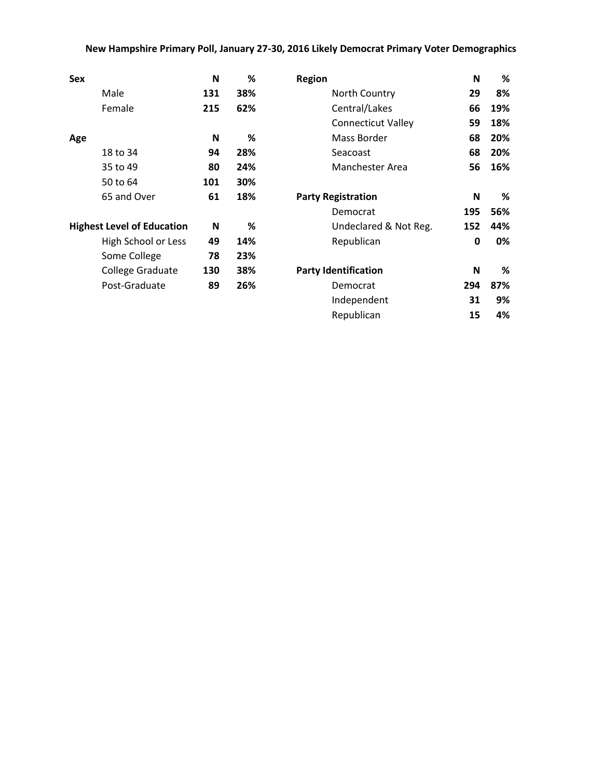## **New Hampshire Primary Poll, January 27-30, 2016 Likely Democrat Primary Voter Demographics**

| <b>Sex</b>                        | N   | %   | <b>Region</b>               | N            | %   |
|-----------------------------------|-----|-----|-----------------------------|--------------|-----|
| Male                              | 131 | 38% | North Country               | 29           | 8%  |
| Female                            | 215 | 62% | Central/Lakes               | 66           | 19% |
|                                   |     |     | <b>Connecticut Valley</b>   | 59           | 18% |
| Age                               | N   | %   | Mass Border                 | 68           | 20% |
| 18 to 34                          | 94  | 28% | Seacoast                    | 68           | 20% |
| 35 to 49                          | 80  | 24% | Manchester Area             | 56           | 16% |
| 50 to 64                          | 101 | 30% |                             |              |     |
| 65 and Over                       | 61  | 18% | <b>Party Registration</b>   | N            | %   |
|                                   |     |     | Democrat                    | 195          | 56% |
| <b>Highest Level of Education</b> | N   | %   | Undeclared & Not Reg.       | 152          | 44% |
| High School or Less               | 49  | 14% | Republican                  | $\mathbf{0}$ | 0%  |
| Some College                      | 78  | 23% |                             |              |     |
| <b>College Graduate</b>           | 130 | 38% | <b>Party Identification</b> | N            | %   |
| Post-Graduate                     | 89  | 26% | Democrat                    | 294          | 87% |
|                                   |     |     | Independent                 | 31           | 9%  |
|                                   |     |     | Republican                  | 15           | 4%  |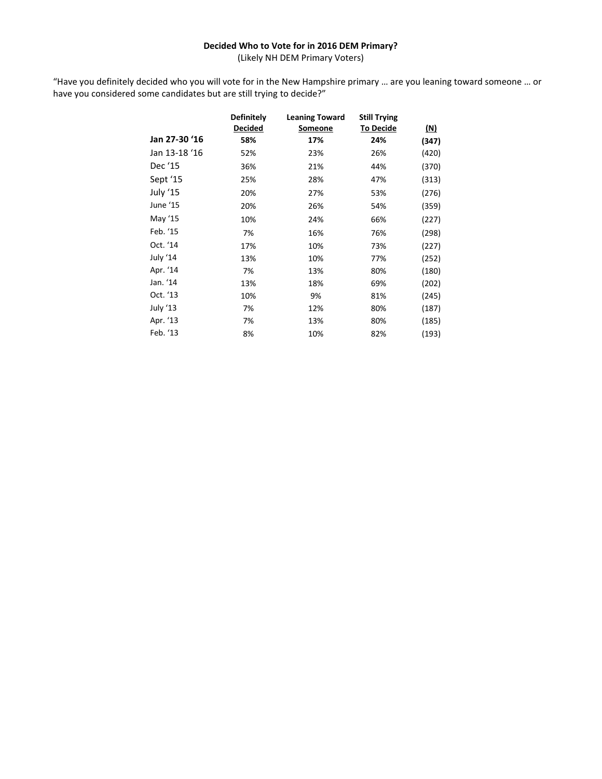## **Decided Who to Vote for in 2016 DEM Primary?**

(Likely NH DEM Primary Voters)

"Have you definitely decided who you will vote for in the New Hampshire primary … are you leaning toward someone … or have you considered some candidates but are still trying to decide?"

|               | <b>Definitely</b> | <b>Leaning Toward</b> | <b>Still Trying</b> |            |
|---------------|-------------------|-----------------------|---------------------|------------|
|               | <b>Decided</b>    | Someone               | <b>To Decide</b>    | <u>(N)</u> |
| Jan 27-30 '16 | 58%               | 17%                   | 24%                 | (347)      |
| Jan 13-18 '16 | 52%               | 23%                   | 26%                 | (420)      |
| Dec '15       | 36%               | 21%                   | 44%                 | (370)      |
| Sept '15      | 25%               | 28%                   | 47%                 | (313)      |
| July '15      | 20%               | 27%                   | 53%                 | (276)      |
| June '15      | 20%               | 26%                   | 54%                 | (359)      |
| May '15       | 10%               | 24%                   | 66%                 | (227)      |
| Feb. '15      | 7%                | 16%                   | 76%                 | (298)      |
| Oct. '14      | 17%               | 10%                   | 73%                 | (227)      |
| July '14      | 13%               | 10%                   | 77%                 | (252)      |
| Apr. '14      | 7%                | 13%                   | 80%                 | (180)      |
| Jan. '14      | 13%               | 18%                   | 69%                 | (202)      |
| Oct. '13      | 10%               | 9%                    | 81%                 | (245)      |
| July '13      | 7%                | 12%                   | 80%                 | (187)      |
| Apr. '13      | 7%                | 13%                   | 80%                 | (185)      |
| Feb. '13      | 8%                | 10%                   | 82%                 | (193)      |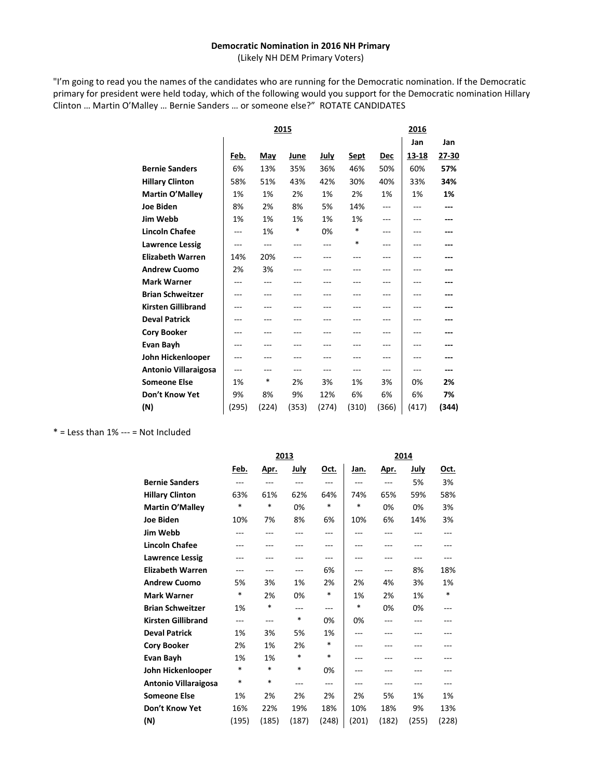#### **Democratic Nomination in 2016 NH Primary**

(Likely NH DEM Primary Voters)

"I'm going to read you the names of the candidates who are running for the Democratic nomination. If the Democratic primary for president were held today, which of the following would you support for the Democratic nomination Hillary Clinton … Martin O'Malley … Bernie Sanders … or someone else?" ROTATE CANDIDATES

|                             |       |       | 2015  |       |             |       | 2016  |       |  |
|-----------------------------|-------|-------|-------|-------|-------------|-------|-------|-------|--|
|                             |       |       |       |       |             |       | Jan   | Jan   |  |
|                             | Feb.  | May   | June  | July  | <u>Sept</u> | Dec   | 13-18 | 27-30 |  |
| <b>Bernie Sanders</b>       | 6%    | 13%   | 35%   | 36%   | 46%         | 50%   | 60%   | 57%   |  |
| <b>Hillary Clinton</b>      | 58%   | 51%   | 43%   | 42%   | 30%         | 40%   | 33%   | 34%   |  |
| Martin O'Malley             | 1%    | 1%    | 2%    | 1%    | 2%          | 1%    | 1%    | 1%    |  |
| <b>Joe Biden</b>            | 8%    | 2%    | 8%    | 5%    | 14%         | ---   | ---   |       |  |
| Jim Webb                    | 1%    | 1%    | 1%    | 1%    | 1%          | ---   | ---   |       |  |
| <b>Lincoln Chafee</b>       | ---   | 1%    | *     | 0%    | *           | ---   | ---   |       |  |
| <b>Lawrence Lessig</b>      | ---   | ---   | ---   | ---   | *           | ---   | ---   |       |  |
| <b>Elizabeth Warren</b>     | 14%   | 20%   | ---   |       | ---         | ---   | ---   |       |  |
| <b>Andrew Cuomo</b>         | 2%    | 3%    |       |       |             | ---   |       |       |  |
| <b>Mark Warner</b>          |       |       |       |       |             |       |       |       |  |
| <b>Brian Schweitzer</b>     | ---   |       |       |       |             | ---   |       |       |  |
| <b>Kirsten Gillibrand</b>   | ---   |       |       |       |             | ---   | ---   |       |  |
| <b>Deval Patrick</b>        | ---   | ---   | ---   |       | ---         | ---   | ---   |       |  |
| <b>Cory Booker</b>          | ---   |       |       |       |             | ---   | ---   |       |  |
| Evan Bayh                   | ---   |       |       |       |             | ---   |       |       |  |
| John Hickenlooper           | ---   |       |       |       |             |       |       |       |  |
| <b>Antonio Villaraigosa</b> | ---   |       |       |       | ---         | ---   |       |       |  |
| <b>Someone Else</b>         | 1%    | *     | 2%    | 3%    | 1%          | 3%    | 0%    | 2%    |  |
| Don't Know Yet              | 9%    | 8%    | 9%    | 12%   | 6%          | 6%    | 6%    | 7%    |  |
| (N)                         | (295) | (224) | (353) | (274) | (310)       | (366) | (417) | (344) |  |

 $*$  = Less than 1% --- = Not Included

|                             | 2013  |             |             |        | 2014  |             |             |             |
|-----------------------------|-------|-------------|-------------|--------|-------|-------------|-------------|-------------|
|                             | Feb.  | <u>Apr.</u> | <u>July</u> | Oct.   | Jan.  | <u>Apr.</u> | <u>July</u> | <u>Oct.</u> |
| <b>Bernie Sanders</b>       | ---   | ---         | $---$       | ---    | ---   | $---$       | 5%          | 3%          |
| <b>Hillary Clinton</b>      | 63%   | 61%         | 62%         | 64%    | 74%   | 65%         | 59%         | 58%         |
| Martin O'Malley             | *     | $\ast$      | 0%          | *      | *     | 0%          | 0%          | 3%          |
| <b>Joe Biden</b>            | 10%   | 7%          | 8%          | 6%     | 10%   | 6%          | 14%         | 3%          |
| Jim Webb                    |       | ---         |             | ---    |       |             |             | ---         |
| <b>Lincoln Chafee</b>       |       |             |             | ---    | ---   |             |             |             |
| <b>Lawrence Lessig</b>      |       | ---         |             | ---    | ---   | ---         |             |             |
| <b>Elizabeth Warren</b>     | ---   | ---         | ---         | 6%     | ---   | ---         | 8%          | 18%         |
| <b>Andrew Cuomo</b>         | 5%    | 3%          | 1%          | 2%     | 2%    | 4%          | 3%          | 1%          |
| <b>Mark Warner</b>          | *     | 2%          | 0%          | $\ast$ | 1%    | 2%          | 1%          | *           |
| <b>Brian Schweitzer</b>     | 1%    | *           | $---$       | ---    | *     | 0%          | 0%          | ---         |
| <b>Kirsten Gillibrand</b>   | ---   | ---         | *           | 0%     | 0%    | ---         |             |             |
| <b>Deval Patrick</b>        | 1%    | 3%          | 5%          | 1%     | ---   |             |             |             |
| <b>Cory Booker</b>          | 2%    | 1%          | 2%          | *      | ---   | ---         |             |             |
| Evan Bayh                   | 1%    | 1%          | *           | *      | ---   |             |             |             |
| John Hickenlooper           | *     | *           | *           | 0%     |       |             |             |             |
| <b>Antonio Villaraigosa</b> | *     | *           | $---$       | ---    | ---   | ---         | ---         | ---         |
| <b>Someone Else</b>         | 1%    | 2%          | 2%          | 2%     | 2%    | 5%          | 1%          | 1%          |
| Don't Know Yet              | 16%   | 22%         | 19%         | 18%    | 10%   | 18%         | 9%          | 13%         |
| (N)                         | (195) | (185)       | (187)       | (248)  | (201) | (182)       | (255)       | (228)       |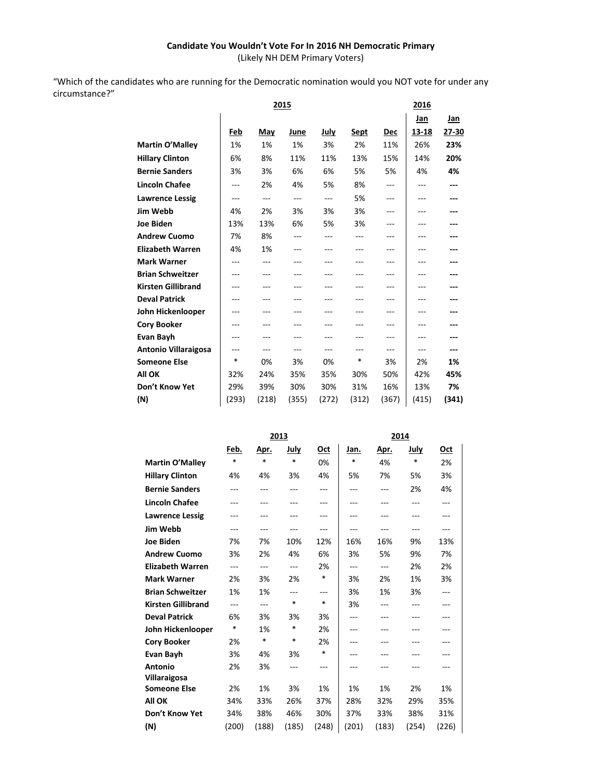## **Candidate You Wouldn't Vote For In 2016 NH Democratic Primary**

(Likely NH DEM Primary Voters)

"Which of the candidates who are running for the Democratic nomination would you NOT vote for under any circumstance?"

|                             |         | 2015  |       | 2016           |             |         |       |           |
|-----------------------------|---------|-------|-------|----------------|-------------|---------|-------|-----------|
|                             |         |       |       |                |             |         | Jan   | Jan       |
|                             | Feb     | May   | June  | July           | <u>Sept</u> | Dec     | 13-18 | $27 - 30$ |
| Martin O'Malley             | 1%      | 1%    | 1%    | 3%             | 2%          | 11%     | 26%   | 23%       |
| <b>Hillary Clinton</b>      | 6%      | 8%    | 11%   | 11%            | 13%         | 15%     | 14%   | 20%       |
| <b>Bernie Sanders</b>       | 3%      | 3%    | 6%    | 6%             | 5%          | 5%      | 4%    | 4%        |
| <b>Lincoln Chafee</b>       | ---     | 2%    | 4%    | 5%             | 8%          | ---     | ---   | ---       |
| <b>Lawrence Lessig</b>      | ---     | ---   | ---   | $\overline{a}$ | 5%          | $---$   | ---   |           |
| Jim Webb                    | 4%      | 2%    | 3%    | 3%             | 3%          | $---$   | ---   |           |
| <b>Joe Biden</b>            | 13%     | 13%   | 6%    | 5%             | 3%          | ---     | ---   |           |
| <b>Andrew Cuomo</b>         | 7%      | 8%    |       |                |             | $---$   |       |           |
| <b>Elizabeth Warren</b>     | 4%      | 1%    |       |                |             | ---     |       |           |
| <b>Mark Warner</b>          |         | ---   |       |                |             | ---     | ---   |           |
| <b>Brian Schweitzer</b>     | ---     |       |       |                |             | ---     |       |           |
| <b>Kirsten Gillibrand</b>   | $- - -$ |       |       |                |             | $- - -$ | ---   |           |
| <b>Deval Patrick</b>        | ---     |       |       |                |             | $- - -$ |       |           |
| John Hickenlooper           |         |       |       |                |             | $---$   |       |           |
| <b>Cory Booker</b>          |         |       |       |                |             | $- - -$ |       |           |
| Evan Bayh                   | ---     |       |       |                |             | $---$   |       |           |
| <b>Antonio Villaraigosa</b> | ---     | $---$ | ---   | ---            |             | $---$   | ---   | ---       |
| <b>Someone Else</b>         | $\ast$  | 0%    | 3%    | 0%             | $\ast$      | 3%      | 2%    | 1%        |
| <b>All OK</b>               | 32%     | 24%   | 35%   | 35%            | 30%         | 50%     | 42%   | 45%       |
| Don't Know Yet              | 29%     | 39%   | 30%   | 30%            | 31%         | 16%     | 13%   | 7%        |
| (N)                         | (293)   | (218) | (355) | (272)          | (312)       | (367)   | (415) | (341)     |
|                             |         |       |       |                |             |         |       |           |

|                           |                | 2013           |        |        |       | 2014        |       |         |  |
|---------------------------|----------------|----------------|--------|--------|-------|-------------|-------|---------|--|
|                           | Feb.           | Apr.           | July   | Oct    | Jan.  | <u>Apr.</u> | July  | Oct     |  |
| Martin O'Malley           | $\ast$         | $\ast$         | $\ast$ | 0%     | *     | 4%          | *     | 2%      |  |
| <b>Hillary Clinton</b>    | 4%             | 4%             | 3%     | 4%     | 5%    | 7%          | 5%    | 3%      |  |
| <b>Bernie Sanders</b>     | ---            | $---$          | $---$  | ---    | ---   | $---$       | 2%    | 4%      |  |
| <b>Lincoln Chafee</b>     | ---            | $---$          | ---    | $---$  | ---   | ---         | $---$ | $---$   |  |
| <b>Lawrence Lessig</b>    | ---            | $---$          | ---    | ---    | ---   | ---         | ---   | $---$   |  |
| Jim Webb                  | ---            | ---            | ---    | ---    | ---   | ---         | ---   | ---     |  |
| <b>Joe Biden</b>          | 7%             | 7%             | 10%    | 12%    | 16%   | 16%         | 9%    | 13%     |  |
| <b>Andrew Cuomo</b>       | 3%             | 2%             | 4%     | 6%     | 3%    | 5%          | 9%    | 7%      |  |
| <b>Elizabeth Warren</b>   | $\overline{a}$ | $\overline{a}$ | $---$  | 2%     | $---$ | $---$       | 2%    | 2%      |  |
| <b>Mark Warner</b>        | 2%             | 3%             | 2%     | *      | 3%    | 2%          | 1%    | 3%      |  |
| <b>Brian Schweitzer</b>   | 1%             | 1%             | ---    | ---    | 3%    | 1%          | 3%    | $---$   |  |
| <b>Kirsten Gillibrand</b> | ---            | ---            | $\ast$ | $\ast$ | 3%    | ---         | ---   | ---     |  |
| <b>Deval Patrick</b>      | 6%             | 3%             | 3%     | 3%     | ---   | ---         | ---   | $- - -$ |  |
| John Hickenlooper         | $\ast$         | 1%             | $\ast$ | 2%     | ---   | ---         | ---   | ---     |  |
| <b>Cory Booker</b>        | 2%             | $\ast$         | $\ast$ | 2%     | ---   | ---         | ---   | ---     |  |
| Evan Bayh                 | 3%             | 4%             | 3%     | $\ast$ | ---   |             | ---   | ---     |  |
| <b>Antonio</b>            | 2%             | 3%             | ---    | $---$  | ---   | ---         | ---   | $---$   |  |
| Villaraigosa              |                |                |        |        |       |             |       |         |  |
| <b>Someone Else</b>       | 2%             | 1%             | 3%     | 1%     | 1%    | 1%          | 2%    | 1%      |  |
| All OK                    | 34%            | 33%            | 26%    | 37%    | 28%   | 32%         | 29%   | 35%     |  |
| Don't Know Yet            | 34%            | 38%            | 46%    | 30%    | 37%   | 33%         | 38%   | 31%     |  |
| (N)                       | (200)          | (188)          | (185)  | (248)  | (201) | (183)       | (254) | (226)   |  |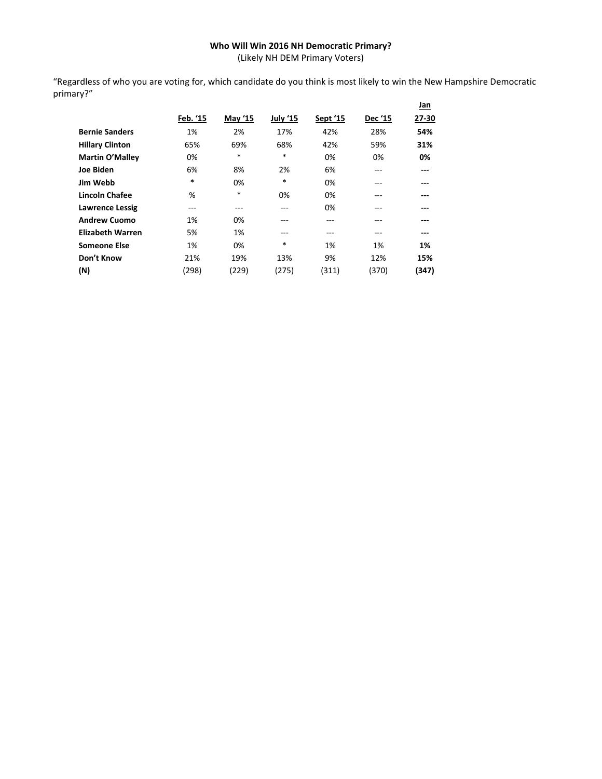## **Who Will Win 2016 NH Democratic Primary?**

(Likely NH DEM Primary Voters)

"Regardless of who you are voting for, which candidate do you think is most likely to win the New Hampshire Democratic primary?"

|                         |          |         |          |          |                | <u>Jan</u> |
|-------------------------|----------|---------|----------|----------|----------------|------------|
|                         | Feb. '15 | May '15 | July '15 | Sept '15 | <b>Dec '15</b> | 27-30      |
| <b>Bernie Sanders</b>   | 1%       | 2%      | 17%      | 42%      | 28%            | 54%        |
| <b>Hillary Clinton</b>  | 65%      | 69%     | 68%      | 42%      | 59%            | 31%        |
| <b>Martin O'Malley</b>  | 0%       | $\ast$  | *        | 0%       | 0%             | 0%         |
| Joe Biden               | 6%       | 8%      | 2%       | 6%       | ---            | ---        |
| Jim Webb                | $\ast$   | 0%      | $\ast$   | 0%       | ---            | ---        |
| <b>Lincoln Chafee</b>   | %        | *       | 0%       | 0%       | ---            | ---        |
| <b>Lawrence Lessig</b>  | ---      | ---     | ---      | 0%       | ---            | ---        |
| <b>Andrew Cuomo</b>     | 1%       | 0%      | ---      | ---      | ---            | ---        |
| <b>Elizabeth Warren</b> | 5%       | 1%      | ---      | ---      | ---            | ---        |
| <b>Someone Else</b>     | 1%       | 0%      | *        | 1%       | 1%             | 1%         |
| Don't Know              | 21%      | 19%     | 13%      | 9%       | 12%            | 15%        |
| (N)                     | (298)    | (229)   | (275)    | (311)    | (370)          | (347)      |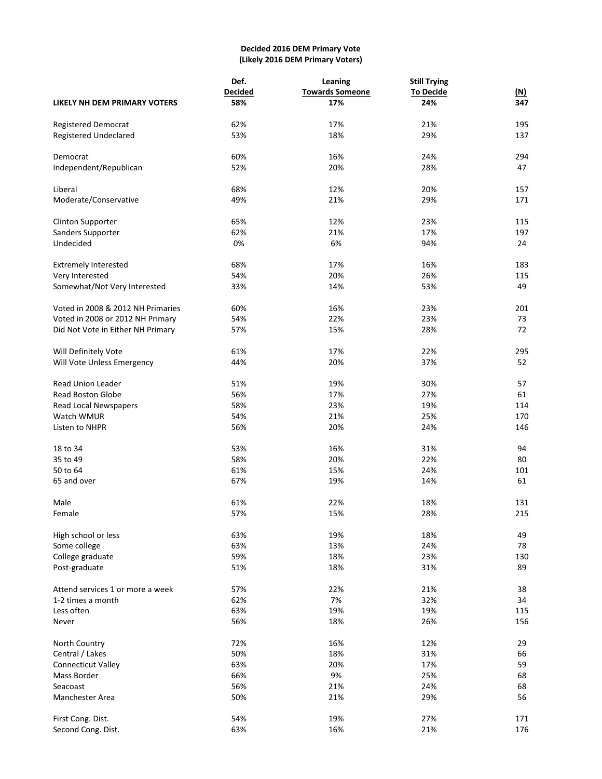## **Decided 2016 DEM Primary Vote (Likely 2016 DEM Primary Voters)**

|                                   | Def.           | Leaning                | <b>Still Trying</b> |            |  |
|-----------------------------------|----------------|------------------------|---------------------|------------|--|
|                                   | <b>Decided</b> | <b>Towards Someone</b> | <b>To Decide</b>    | <u>(N)</u> |  |
| LIKELY NH DEM PRIMARY VOTERS      | 58%            | 17%                    | 24%                 | 347        |  |
| Registered Democrat               | 62%            | 17%                    | 21%                 | 195        |  |
| <b>Registered Undeclared</b>      | 53%            | 18%                    | 29%                 | 137        |  |
| Democrat                          | 60%            | 16%                    | 24%                 | 294        |  |
| Independent/Republican            | 52%            | 20%                    | 28%                 | 47         |  |
| Liberal                           | 68%            | 12%                    | 20%                 | 157        |  |
| Moderate/Conservative             | 49%            | 21%                    | 29%                 | 171        |  |
| <b>Clinton Supporter</b>          | 65%            | 12%                    | 23%                 | 115        |  |
| Sanders Supporter                 | 62%            | 21%                    | 17%                 | 197        |  |
| Undecided                         | 0%             | 6%                     | 94%                 | 24         |  |
| <b>Extremely Interested</b>       | 68%            | 17%                    | 16%                 | 183        |  |
| Very Interested                   | 54%            | 20%                    | 26%                 | 115        |  |
| Somewhat/Not Very Interested      | 33%            | 14%                    | 53%                 | 49         |  |
| Voted in 2008 & 2012 NH Primaries | 60%            | 16%                    | 23%                 | 201        |  |
| Voted in 2008 or 2012 NH Primary  | 54%            | 22%                    | 23%                 | 73         |  |
| Did Not Vote in Either NH Primary | 57%            | 15%                    | 28%                 | 72         |  |
| Will Definitely Vote              | 61%            | 17%                    | 22%                 | 295        |  |
| Will Vote Unless Emergency        | 44%            | 20%                    | 37%                 | 52         |  |
| <b>Read Union Leader</b>          | 51%            | 19%                    | 30%                 | 57         |  |
| <b>Read Boston Globe</b>          | 56%            | 17%                    | 27%                 | 61         |  |
| Read Local Newspapers             | 58%            | 23%                    | 19%                 | 114        |  |
| Watch WMUR                        | 54%            | 21%                    | 25%                 | 170        |  |
| Listen to NHPR                    | 56%            | 20%                    | 24%                 | 146        |  |
| 18 to 34                          | 53%            | 16%                    | 31%                 | 94         |  |
| 35 to 49                          | 58%            | 20%                    | 22%                 | 80         |  |
| 50 to 64                          | 61%            | 15%                    | 24%                 | 101        |  |
| 65 and over                       | 67%            | 19%                    | 14%                 | 61         |  |
| Male                              | 61%            | 22%                    | 18%                 | 131        |  |
| Female                            | 57%            | 15%                    | 28%                 | 215        |  |
| High school or less               | 63%            | 19%                    | 18%                 | 49         |  |
| Some college                      | 63%            | 13%                    | 24%                 | 78         |  |
| College graduate                  | 59%            | 18%                    | 23%                 | 130        |  |
| Post-graduate                     | 51%            | 18%                    | 31%                 | 89         |  |
| Attend services 1 or more a week  | 57%            | 22%                    | 21%                 | 38         |  |
| 1-2 times a month                 | 62%            | 7%                     | 32%                 | 34         |  |
| Less often                        | 63%            | 19%                    | 19%                 | 115        |  |
| Never                             | 56%            | 18%                    | 26%                 | 156        |  |
| North Country                     | 72%            | 16%                    | 12%                 | 29         |  |
| Central / Lakes                   | 50%            | 18%                    | 31%                 | 66         |  |
| <b>Connecticut Valley</b>         | 63%            | 20%                    | 17%                 | 59         |  |
| Mass Border                       | 66%            | 9%                     | 25%                 | 68         |  |
| Seacoast                          | 56%            | 21%                    | 24%                 | 68         |  |
| Manchester Area                   | 50%            | 21%                    | 29%                 | 56         |  |
| First Cong. Dist.                 | 54%            | 19%                    | 27%                 | 171        |  |
| Second Cong. Dist.                | 63%            | 16%                    | 21%                 | 176        |  |
|                                   |                |                        |                     |            |  |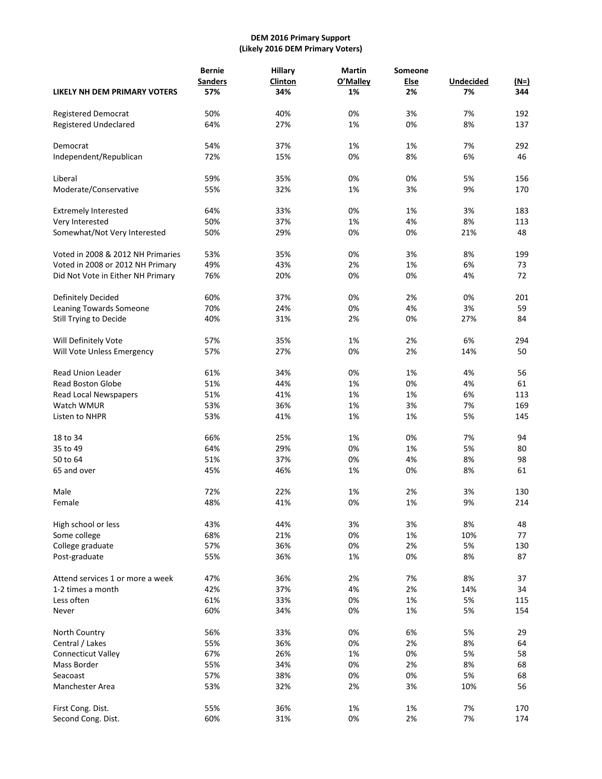## **DEM 2016 Primary Support (Likely 2016 DEM Primary Voters)**

|                                   | <b>Bernie</b>  | <b>Hillary</b> | <b>Martin</b> | Someone     |                  |             |
|-----------------------------------|----------------|----------------|---------------|-------------|------------------|-------------|
|                                   | <b>Sanders</b> | <b>Clinton</b> | O'Malley      | <b>Else</b> | <b>Undecided</b> | <u>(N=)</u> |
| LIKELY NH DEM PRIMARY VOTERS      | 57%            | 34%            | 1%            | 2%          | 7%               | 344         |
| Registered Democrat               | 50%            | 40%            | 0%            | 3%          | 7%               | 192         |
| <b>Registered Undeclared</b>      | 64%            | 27%            | 1%            | 0%          | 8%               | 137         |
| Democrat                          | 54%            | 37%            | 1%            | 1%          | 7%               | 292         |
| Independent/Republican            | 72%            | 15%            | 0%            | 8%          | 6%               | 46          |
| Liberal                           | 59%            | 35%            | 0%            | 0%          | 5%               | 156         |
| Moderate/Conservative             | 55%            | 32%            | 1%            | 3%          | 9%               | 170         |
| <b>Extremely Interested</b>       | 64%            | 33%            | 0%            | 1%          | 3%               | 183         |
| Very Interested                   | 50%            | 37%            | 1%            | 4%          | 8%               | 113         |
| Somewhat/Not Very Interested      | 50%            | 29%            | 0%            | 0%          | 21%              | 48          |
| Voted in 2008 & 2012 NH Primaries | 53%            | 35%            | 0%            | 3%          | 8%               | 199         |
| Voted in 2008 or 2012 NH Primary  | 49%            | 43%            | 2%            | 1%          | 6%               | 73          |
| Did Not Vote in Either NH Primary | 76%            | 20%            | 0%            | 0%          | 4%               | 72          |
| Definitely Decided                | 60%            | 37%            | 0%            | 2%          | 0%               | 201         |
| Leaning Towards Someone           | 70%            | 24%            | 0%            | 4%          | 3%               | 59          |
| Still Trying to Decide            | 40%            | 31%            | 2%            | 0%          | 27%              | 84          |
| Will Definitely Vote              | 57%            | 35%            | 1%            | 2%          | 6%               | 294         |
| Will Vote Unless Emergency        | 57%            | 27%            | 0%            | 2%          | 14%              | 50          |
| <b>Read Union Leader</b>          | 61%            | 34%            | 0%            | 1%          | 4%               | 56          |
| <b>Read Boston Globe</b>          | 51%            | 44%            | 1%            | 0%          | 4%               | 61          |
| Read Local Newspapers             | 51%            | 41%            | 1%            | 1%          | 6%               | 113         |
| Watch WMUR                        | 53%            | 36%            | 1%            | 3%          | 7%               | 169         |
| Listen to NHPR                    | 53%            | 41%            | 1%            | 1%          | 5%               | 145         |
| 18 to 34                          | 66%            | 25%            | 1%            | 0%          | 7%               | 94          |
| 35 to 49                          | 64%            | 29%            | 0%            | 1%          | 5%               | 80          |
| 50 to 64                          | 51%            | 37%            | 0%            | 4%          | 8%               | 98          |
| 65 and over                       | 45%            | 46%            | 1%            | 0%          | 8%               | 61          |
| Male                              | 72%            | 22%            | 1%            | 2%          | 3%               | 130         |
| Female                            | 48%            | 41%            | 0%            | 1%          | 9%               | 214         |
| High school or less               | 43%            | 44%            | 3%            | 3%          | 8%               | 48          |
| Some college                      | 68%            | 21%            | 0%            | 1%          | 10%              | 77          |
| College graduate                  | 57%            | 36%            | 0%            | 2%          | 5%               | 130         |
| Post-graduate                     | 55%            | 36%            | 1%            | 0%          | 8%               | 87          |
| Attend services 1 or more a week  | 47%            | 36%            | 2%            | 7%          | 8%               | 37          |
| 1-2 times a month                 | 42%            | 37%            | 4%            | 2%          | 14%              | 34          |
| Less often                        | 61%            | 33%            | 0%            | 1%          | 5%               | 115         |
| Never                             | 60%            | 34%            | 0%            | 1%          | 5%               | 154         |
| North Country                     | 56%            | 33%            | 0%            | 6%          | 5%               | 29          |
| Central / Lakes                   | 55%            | 36%            | 0%            | 2%          | 8%               | 64          |
| <b>Connecticut Valley</b>         | 67%            | 26%            | 1%            | 0%          | 5%               | 58          |
| Mass Border                       | 55%            | 34%            | 0%            | 2%          | 8%               | 68          |
| Seacoast                          | 57%            | 38%            | 0%            | 0%          | 5%               | 68          |
| Manchester Area                   | 53%            | 32%            | 2%            | 3%          | 10%              | 56          |
| First Cong. Dist.                 | 55%            | 36%            | 1%            | 1%          | 7%               | 170         |
| Second Cong. Dist.                | 60%            | 31%            | 0%            | 2%          | 7%               | 174         |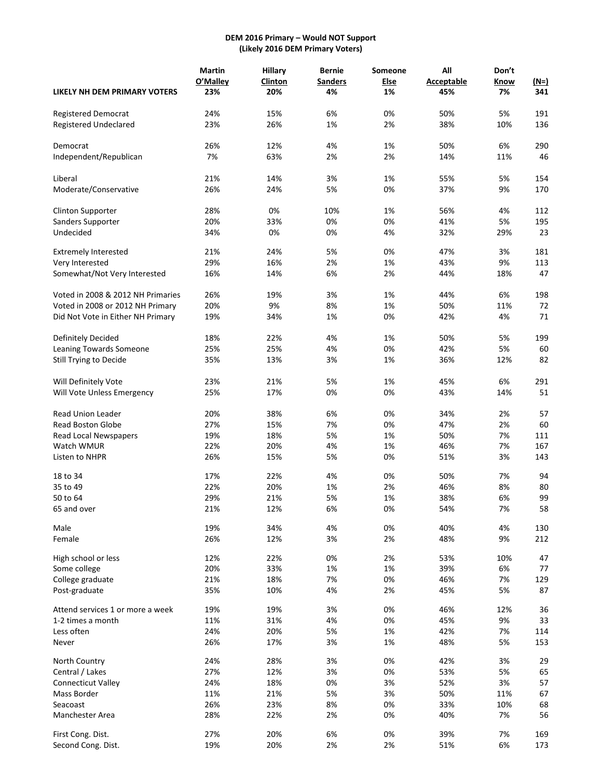## **DEM 2016 Primary – Would NOT Support (Likely 2016 DEM Primary Voters)**

|                                   | <b>Martin</b> | <b>Hillary</b> | <b>Bernie</b>  | Someone | All               | Don't |        |
|-----------------------------------|---------------|----------------|----------------|---------|-------------------|-------|--------|
|                                   | O'Malley      | <b>Clinton</b> | <b>Sanders</b> | Else    | <b>Acceptable</b> | Know  | $(N=)$ |
| LIKELY NH DEM PRIMARY VOTERS      | 23%           | 20%            | 4%             | 1%      | 45%               | 7%    | 341    |
| Registered Democrat               | 24%           | 15%            | 6%             | 0%      | 50%               | 5%    | 191    |
| <b>Registered Undeclared</b>      | 23%           | 26%            | 1%             | 2%      | 38%               | 10%   | 136    |
| Democrat                          | 26%           | 12%            | 4%             | 1%      | 50%               | 6%    | 290    |
| Independent/Republican            | 7%            | 63%            | 2%             | 2%      | 14%               | 11%   | 46     |
| Liberal                           | 21%           | 14%            | 3%             | 1%      | 55%               | 5%    | 154    |
| Moderate/Conservative             | 26%           | 24%            | 5%             | 0%      | 37%               | 9%    | 170    |
| <b>Clinton Supporter</b>          | 28%           | 0%             | 10%            | 1%      | 56%               | 4%    | 112    |
| Sanders Supporter                 | 20%           | 33%            | 0%             | 0%      | 41%               | 5%    | 195    |
| Undecided                         | 34%           | 0%             | 0%             | 4%      | 32%               | 29%   | 23     |
| <b>Extremely Interested</b>       | 21%           | 24%            | 5%             | 0%      | 47%               | 3%    | 181    |
| Very Interested                   | 29%           | 16%            | 2%             | 1%      | 43%               | 9%    | 113    |
| Somewhat/Not Very Interested      | 16%           | 14%            | 6%             | 2%      | 44%               | 18%   | 47     |
| Voted in 2008 & 2012 NH Primaries | 26%           | 19%            | 3%             | 1%      | 44%               | 6%    | 198    |
| Voted in 2008 or 2012 NH Primary  | 20%           | 9%             | 8%             | 1%      | 50%               | 11%   | 72     |
| Did Not Vote in Either NH Primary | 19%           | 34%            | 1%             | 0%      | 42%               | 4%    | 71     |
| Definitely Decided                | 18%           | 22%            | 4%             | 1%      | 50%               | 5%    | 199    |
| Leaning Towards Someone           | 25%           | 25%            | 4%             | 0%      | 42%               | 5%    | 60     |
| Still Trying to Decide            | 35%           | 13%            | 3%             | 1%      | 36%               | 12%   | 82     |
| Will Definitely Vote              | 23%           | 21%            | 5%             | 1%      | 45%               | 6%    | 291    |
| Will Vote Unless Emergency        | 25%           | 17%            | 0%             | 0%      | 43%               | 14%   | 51     |
|                                   |               |                |                |         |                   |       |        |
| <b>Read Union Leader</b>          | 20%           | 38%            | 6%             | 0%      | 34%               | 2%    | 57     |
| Read Boston Globe                 | 27%           | 15%            | 7%             | 0%      | 47%               | 2%    | 60     |
| Read Local Newspapers             | 19%           | 18%            | 5%             | 1%      | 50%               | 7%    | 111    |
| Watch WMUR                        | 22%           | 20%            | 4%             | 1%      | 46%               | 7%    | 167    |
| Listen to NHPR                    | 26%           | 15%            | 5%             | 0%      | 51%               | 3%    | 143    |
| 18 to 34                          | 17%           | 22%            | 4%             | 0%      | 50%               | 7%    | 94     |
| 35 to 49                          | 22%           | 20%            | 1%             | 2%      | 46%               | 8%    | 80     |
| 50 to 64                          | 29%           | 21%            | 5%             | 1%      | 38%               | 6%    | 99     |
| 65 and over                       | 21%           | 12%            | 6%             | 0%      | 54%               | 7%    | 58     |
| Male                              | 19%           | 34%            | 4%             | 0%      | 40%               | 4%    | 130    |
| Female                            | 26%           | 12%            | 3%             | 2%      | 48%               | 9%    | 212    |
| High school or less               | 12%           | 22%            | 0%             | 2%      | 53%               | 10%   | 47     |
| Some college                      | 20%           | 33%            | 1%             | 1%      | 39%               | 6%    | 77     |
| College graduate                  | 21%           | 18%            | 7%             | 0%      | 46%               | 7%    | 129    |
| Post-graduate                     | 35%           | 10%            | 4%             | 2%      | 45%               | 5%    | 87     |
| Attend services 1 or more a week  | 19%           | 19%            | 3%             | 0%      | 46%               | 12%   | 36     |
| 1-2 times a month                 | 11%           | 31%            | 4%             | 0%      | 45%               | 9%    | 33     |
| Less often                        | 24%           | 20%            | 5%             | 1%      | 42%               | 7%    | 114    |
| Never                             | 26%           | 17%            | 3%             | 1%      | 48%               | 5%    | 153    |
| North Country                     | 24%           | 28%            | 3%             | 0%      | 42%               | 3%    | 29     |
| Central / Lakes                   | 27%           | 12%            | 3%             | 0%      | 53%               | 5%    | 65     |
| Connecticut Valley                | 24%           | 18%            | 0%             | 3%      | 52%               | 3%    | 57     |
| Mass Border                       | 11%           | 21%            | 5%             | 3%      | 50%               | 11%   | 67     |
| Seacoast                          | 26%           | 23%            | 8%             | 0%      | 33%               | 10%   | 68     |
| Manchester Area                   | 28%           | 22%            | 2%             | 0%      | 40%               | 7%    | 56     |
| First Cong. Dist.                 | 27%           | 20%            | 6%             | 0%      | 39%               | 7%    | 169    |
| Second Cong. Dist.                | 19%           | 20%            | 2%             | 2%      | 51%               | 6%    | 173    |